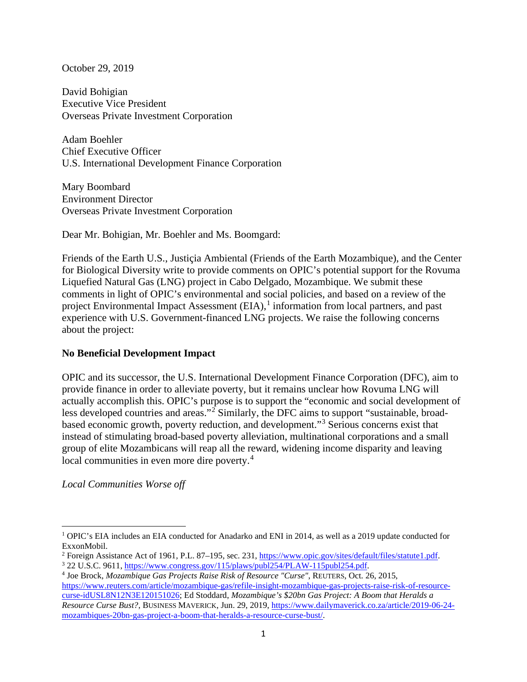October 29, 2019

David Bohigian Executive Vice President Overseas Private Investment Corporation

Adam Boehler Chief Executive Officer U.S. International Development Finance Corporation

Mary Boombard Environment Director Overseas Private Investment Corporation

Dear Mr. Bohigian, Mr. Boehler and Ms. Boomgard:

Friends of the Earth U.S., Justiçia Ambiental (Friends of the Earth Mozambique), and the Center for Biological Diversity write to provide comments on OPIC's potential support for the Rovuma Liquefied Natural Gas (LNG) project in Cabo Delgado, Mozambique. We submit these comments in light of OPIC's environmental and social policies, and based on a review of the project Environmental Impact Assessment (EIA),<sup>[1](#page-0-0)</sup> information from local partners, and past experience with U.S. Government-financed LNG projects. We raise the following concerns about the project:

## **No Beneficial Development Impact**

OPIC and its successor, the U.S. International Development Finance Corporation (DFC), aim to provide finance in order to alleviate poverty, but it remains unclear how Rovuma LNG will actually accomplish this. OPIC's purpose is to support the "economic and social development of less developed countries and areas."[2](#page-0-1) Similarly, the DFC aims to support "sustainable, broadbased economic growth, poverty reduction, and development."[3](#page-0-2) Serious concerns exist that instead of stimulating broad-based poverty alleviation, multinational corporations and a small group of elite Mozambicans will reap all the reward, widening income disparity and leaving local communities in even more dire poverty.<sup>[4](#page-0-3)</sup>

*Local Communities Worse off*

<span id="page-0-0"></span><sup>&</sup>lt;sup>1</sup> OPIC's EIA includes an EIA conducted for Anadarko and ENI in 2014, as well as a 2019 update conducted for ExxonMobil.

<span id="page-0-2"></span><span id="page-0-1"></span><sup>&</sup>lt;sup>2</sup> Foreign Assistance Act of 1961, P.L. 87–195, sec. 231, [https://www.opic.gov/sites/default/files/statute1.pdf.](https://www.opic.gov/sites/default/files/statute1.pdf)<br><sup>3</sup> 22 U.S.C. 9611, https://www.congress.gov/115/plaws/publ254/PLAW-115publ254.pdf.

<span id="page-0-3"></span><sup>&</sup>lt;sup>4</sup> Joe Brock, *Mozambique Gas Projects Raise Risk of Resource "Curse"*, REUTERS, Oct. 26, 2015, [https://www.reuters.com/article/mozambique-gas/refile-insight-mozambique-gas-projects-raise-risk-of-resource](https://www.reuters.com/article/mozambique-gas/refile-insight-mozambique-gas-projects-raise-risk-of-resource-curse-idUSL8N12N3E120151026)[curse-idUSL8N12N3E120151026;](https://www.reuters.com/article/mozambique-gas/refile-insight-mozambique-gas-projects-raise-risk-of-resource-curse-idUSL8N12N3E120151026) Ed Stoddard, *Mozambique's \$20bn Gas Project: A Boom that Heralds a* 

*Resource Curse Bust?*, BUSINESS MAVERICK, Jun. 29, 2019[, https://www.dailymaverick.co.za/article/2019-06-24](https://www.dailymaverick.co.za/article/2019-06-24-mozambiques-20bn-gas-project-a-boom-that-heralds-a-resource-curse-bust/) [mozambiques-20bn-gas-project-a-boom-that-heralds-a-resource-curse-bust/.](https://www.dailymaverick.co.za/article/2019-06-24-mozambiques-20bn-gas-project-a-boom-that-heralds-a-resource-curse-bust/)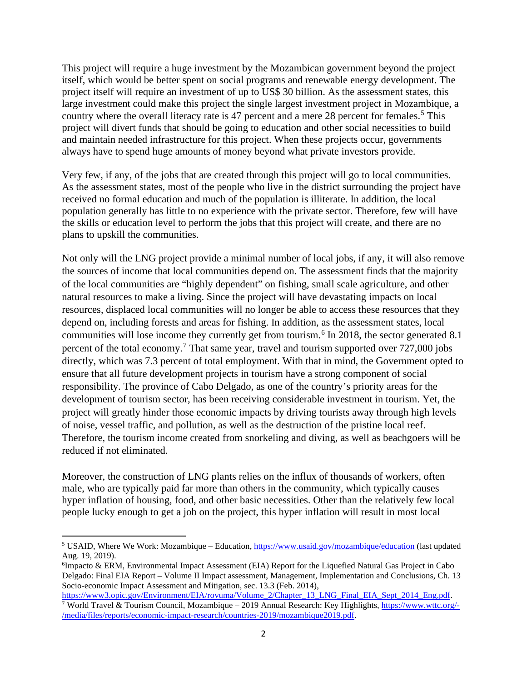This project will require a huge investment by the Mozambican government beyond the project itself, which would be better spent on social programs and renewable energy development. The project itself will require an investment of up to US\$ 30 billion. As the assessment states, this large investment could make this project the single largest investment project in Mozambique, a country where the overall literacy rate is 47 percent and a mere 28 percent for females.<sup>[5](#page-1-0)</sup> This project will divert funds that should be going to education and other social necessities to build and maintain needed infrastructure for this project. When these projects occur, governments always have to spend huge amounts of money beyond what private investors provide.

Very few, if any, of the jobs that are created through this project will go to local communities. As the assessment states, most of the people who live in the district surrounding the project have received no formal education and much of the population is illiterate. In addition, the local population generally has little to no experience with the private sector. Therefore, few will have the skills or education level to perform the jobs that this project will create, and there are no plans to upskill the communities.

Not only will the LNG project provide a minimal number of local jobs, if any, it will also remove the sources of income that local communities depend on. The assessment finds that the majority of the local communities are "highly dependent" on fishing, small scale agriculture, and other natural resources to make a living. Since the project will have devastating impacts on local resources, displaced local communities will no longer be able to access these resources that they depend on, including forests and areas for fishing. In addition, as the assessment states, local communities will lose income they currently get from tourism.<sup>[6](#page-1-1)</sup> In 2018, the sector generated 8.1 percent of the total economy.<sup>[7](#page-1-2)</sup> That same year, travel and tourism supported over 727,000 jobs directly, which was 7.3 percent of total employment. With that in mind, the Government opted to ensure that all future development projects in tourism have a strong component of social responsibility. The province of Cabo Delgado, as one of the country's priority areas for the development of tourism sector, has been receiving considerable investment in tourism. Yet, the project will greatly hinder those economic impacts by driving tourists away through high levels of noise, vessel traffic, and pollution, as well as the destruction of the pristine local reef. Therefore, the tourism income created from snorkeling and diving, as well as beachgoers will be reduced if not eliminated.

Moreover, the construction of LNG plants relies on the influx of thousands of workers, often male, who are typically paid far more than others in the community, which typically causes hyper inflation of housing, food, and other basic necessities. Other than the relatively few local people lucky enough to get a job on the project, this hyper inflation will result in most local

<span id="page-1-0"></span><sup>5</sup> USAID, Where We Work: Mozambique – Education,<https://www.usaid.gov/mozambique/education> (last updated Aug. 19, 2019).

<span id="page-1-1"></span><sup>&</sup>lt;sup>6</sup>Impacto & ERM, Environmental Impact Assessment (EIA) Report for the Liquefied Natural Gas Project in Cabo Delgado: Final EIA Report – Volume II Impact assessment, Management, Implementation and Conclusions, Ch. 13 Socio-economic Impact Assessment and Mitigation, sec. 13.3 (Feb. 2014),<br>https://www3.opic.gov/Environment/EIA/rovuma/Volume 2/Chapter 13 LNG Final EIA Sept 2014 Eng.pdf.

<span id="page-1-2"></span><sup>&</sup>lt;sup>7</sup> World Travel & Tourism Council, Mozambique – 2019 Annual Research: Key Highlights, [https://www.wttc.org/-](https://www.wttc.org/-/media/files/reports/economic-impact-research/countries-2019/mozambique2019.pdf) [/media/files/reports/economic-impact-research/countries-2019/mozambique2019.pdf.](https://www.wttc.org/-/media/files/reports/economic-impact-research/countries-2019/mozambique2019.pdf)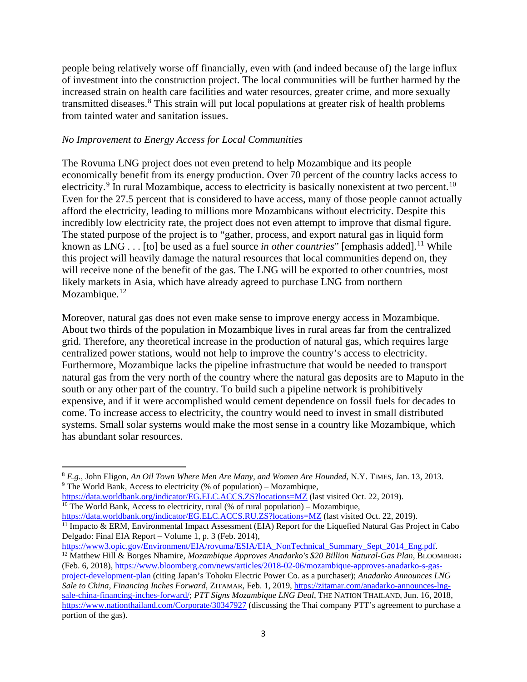people being relatively worse off financially, even with (and indeed because of) the large influx of investment into the construction project. The local communities will be further harmed by the increased strain on health care facilities and water resources, greater crime, and more sexually transmitted diseases. [8](#page-2-0) This strain will put local populations at greater risk of health problems from tainted water and sanitation issues.

#### *No Improvement to Energy Access for Local Communities*

The Rovuma LNG project does not even pretend to help Mozambique and its people economically benefit from its energy production. Over 70 percent of the country lacks access to electricity.<sup>[9](#page-2-1)</sup> In rural Mozambique, access to electricity is basically nonexistent at two percent.<sup>[10](#page-2-2)</sup> Even for the 27.5 percent that is considered to have access, many of those people cannot actually afford the electricity, leading to millions more Mozambicans without electricity. Despite this incredibly low electricity rate, the project does not even attempt to improve that dismal figure. The stated purpose of the project is to "gather, process, and export natural gas in liquid form known as LNG . . . [to] be used as a fuel source *in other countries*" [emphasis added].<sup>[11](#page-2-3)</sup> While this project will heavily damage the natural resources that local communities depend on, they will receive none of the benefit of the gas. The LNG will be exported to other countries, most likely markets in Asia, which have already agreed to purchase LNG from northern Mozambique. $12$ 

Moreover, natural gas does not even make sense to improve energy access in Mozambique. About two thirds of the population in Mozambique lives in rural areas far from the centralized grid. Therefore, any theoretical increase in the production of natural gas, which requires large centralized power stations, would not help to improve the country's access to electricity. Furthermore, Mozambique lacks the pipeline infrastructure that would be needed to transport natural gas from the very north of the country where the natural gas deposits are to Maputo in the south or any other part of the country. To build such a pipeline network is prohibitively expensive, and if it were accomplished would cement dependence on fossil fuels for decades to come. To increase access to electricity, the country would need to invest in small distributed systems. Small solar systems would make the most sense in a country like Mozambique, which has abundant solar resources.

<span id="page-2-2"></span><span id="page-2-1"></span><https://data.worldbank.org/indicator/EG.ELC.ACCS.ZS?locations=MZ> (last visited Oct. 22, 2019). <sup>10</sup> The World Bank, Access to electricity, rural (% of rural population) – Mozambique, <https://data.worldbank.org/indicator/EG.ELC.ACCS.RU.ZS?locations=MZ> (last visited Oct. 22, 2019).

<span id="page-2-4"></span><sup>12</sup> Matthew Hill & Borges Nhamire, *Mozambique Approves Anadarko's \$20 Billion Natural-Gas Plan*, BLOOMBERG

<span id="page-2-0"></span><sup>&</sup>lt;sup>8</sup> *E.g.*, John Eligon, *An Oil Town Where Men Are Many, and Women Are Hounded*, N.Y. TIMES, Jan. 13, 2013. <sup>9</sup> The World Bank, Access to electricity (% of population) – Mozambique,

<span id="page-2-3"></span><sup>&</sup>lt;sup>11</sup> Impacto & ERM, Environmental Impact Assessment (EIA) Report for the Liquefied Natural Gas Project in Cabo Delgado: Final EIA Report – Volume 1, p. 3 (Feb. 2014),<br>https://www3.opic.gov/Environment/EIA/rovuma/ESIA/EIA NonTechnical Summary Sept 2014 Eng.pdf.

<sup>(</sup>Feb. 6, 2018)[, https://www.bloomberg.com/news/articles/2018-02-06/mozambique-approves-anadarko-s-gas](https://www.bloomberg.com/news/articles/2018-02-06/mozambique-approves-anadarko-s-gas-project-development-plan)[project-development-plan](https://www.bloomberg.com/news/articles/2018-02-06/mozambique-approves-anadarko-s-gas-project-development-plan) (citing Japan's Tohoku Electric Power Co. as a purchaser); *Anadarko Announces LNG Sale to China, Financing Inches Forward*, ZITAMAR, Feb. 1, 2019, [https://zitamar.com/anadarko-announces-lng](https://zitamar.com/anadarko-announces-lng-sale-china-financing-inches-forward/)[sale-china-financing-inches-forward/;](https://zitamar.com/anadarko-announces-lng-sale-china-financing-inches-forward/) *PTT Signs Mozambique LNG Deal*, THE NATION THAILAND, Jun. 16, 2018, <https://www.nationthailand.com/Corporate/30347927> (discussing the Thai company PTT's agreement to purchase a portion of the gas).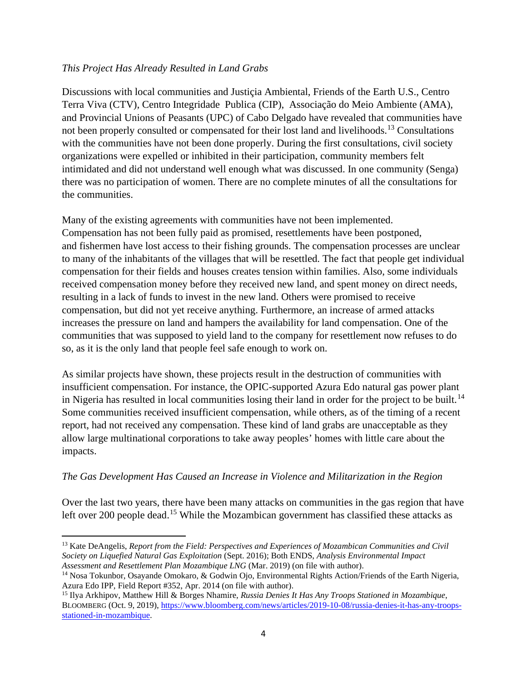#### *This Project Has Already Resulted in Land Grabs*

Discussions with local communities and Justiçia Ambiental, Friends of the Earth U.S., Centro Terra Viva (CTV), Centro Integridade Publica (CIP), Associação do Meio Ambiente (AMA), and Provincial Unions of Peasants (UPC) of Cabo Delgado have revealed that communities have not been properly consulted or compensated for their lost land and livelihoods.<sup>[13](#page-3-0)</sup> Consultations with the communities have not been done properly. During the first consultations, civil society organizations were expelled or inhibited in their participation, community members felt intimidated and did not understand well enough what was discussed. In one community (Senga) there was no participation of women. There are no complete minutes of all the consultations for the communities.

Many of the existing agreements with communities have not been implemented. Compensation has not been fully paid as promised, resettlements have been postponed, and fishermen have lost access to their fishing grounds. The compensation processes are unclear to many of the inhabitants of the villages that will be resettled. The fact that people get individual compensation for their fields and houses creates tension within families. Also, some individuals received compensation money before they received new land, and spent money on direct needs, resulting in a lack of funds to invest in the new land. Others were promised to receive compensation, but did not yet receive anything. Furthermore, an increase of armed attacks increases the pressure on land and hampers the availability for land compensation. One of the communities that was supposed to yield land to the company for resettlement now refuses to do so, as it is the only land that people feel safe enough to work on.

As similar projects have shown, these projects result in the destruction of communities with insufficient compensation. For instance, the OPIC-supported Azura Edo natural gas power plant in Nigeria has resulted in local communities losing their land in order for the project to be built.<sup>[14](#page-3-1)</sup> Some communities received insufficient compensation, while others, as of the timing of a recent report, had not received any compensation. These kind of land grabs are unacceptable as they allow large multinational corporations to take away peoples' homes with little care about the impacts.

#### *The Gas Development Has Caused an Increase in Violence and Militarization in the Region*

Over the last two years, there have been many attacks on communities in the gas region that have left over 200 people dead.<sup>[15](#page-3-2)</sup> While the Mozambican government has classified these attacks as

<span id="page-3-0"></span><sup>13</sup> Kate DeAngelis, *Report from the Field: Perspectives and Experiences of Mozambican Communities and Civil Society on Liquefied Natural Gas Exploitation* (Sept. 2016); Both ENDS, *Analysis Environmental Impact Assessment and Resettlement Plan Mozambique LNG* (Mar. 2019) (on file with author).

<span id="page-3-1"></span><sup>14</sup> Nosa Tokunbor, Osayande Omokaro, & Godwin Ojo, Environmental Rights Action/Friends of the Earth Nigeria, Azura Edo IPP, Field Report #352, Apr. 2014 (on file with author).

<span id="page-3-2"></span><sup>15</sup> Ilya Arkhipov, Matthew Hill & Borges Nhamire, *Russia Denies It Has Any Troops Stationed in Mozambique*, BLOOMBERG (Oct. 9, 2019), [https://www.bloomberg.com/news/articles/2019-10-08/russia-denies-it-has-any-troops](https://www.bloomberg.com/news/articles/2019-10-08/russia-denies-it-has-any-troops-stationed-in-mozambique)[stationed-in-mozambique.](https://www.bloomberg.com/news/articles/2019-10-08/russia-denies-it-has-any-troops-stationed-in-mozambique)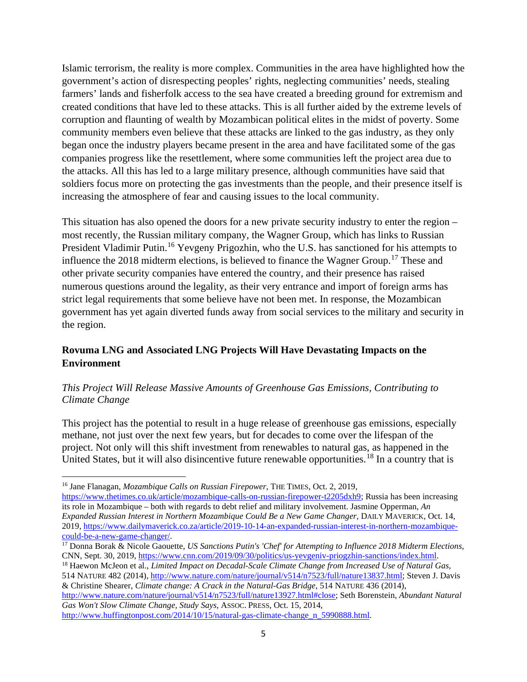Islamic terrorism, the reality is more complex. Communities in the area have highlighted how the government's action of disrespecting peoples' rights, neglecting communities' needs, stealing farmers' lands and fisherfolk access to the sea have created a breeding ground for extremism and created conditions that have led to these attacks. This is all further aided by the extreme levels of corruption and flaunting of wealth by Mozambican political elites in the midst of poverty. Some community members even believe that these attacks are linked to the gas industry, as they only began once the industry players became present in the area and have facilitated some of the gas companies progress like the resettlement, where some communities left the project area due to the attacks. All this has led to a large military presence, although communities have said that soldiers focus more on protecting the gas investments than the people, and their presence itself is increasing the atmosphere of fear and causing issues to the local community.

This situation has also opened the doors for a new private security industry to enter the region – most recently, the Russian military company, the Wagner Group, which has links to Russian President Vladimir Putin.<sup>[16](#page-4-0)</sup> Yevgeny Prigozhin, who the U.S. has sanctioned for his attempts to influence the 2018 midterm elections, is believed to finance the Wagner Group. [17](#page-4-1) These and other private security companies have entered the country, and their presence has raised numerous questions around the legality, as their very entrance and import of foreign arms has strict legal requirements that some believe have not been met. In response, the Mozambican government has yet again diverted funds away from social services to the military and security in the region.

# **Rovuma LNG and Associated LNG Projects Will Have Devastating Impacts on the Environment**

## *This Project Will Release Massive Amounts of Greenhouse Gas Emissions, Contributing to Climate Change*

This project has the potential to result in a huge release of greenhouse gas emissions, especially methane, not just over the next few years, but for decades to come over the lifespan of the project. Not only will this shift investment from renewables to natural gas, as happened in the United States, but it will also disincentive future renewable opportunities.<sup>[18](#page-4-2)</sup> In a country that is

[http://www.huffingtonpost.com/2014/10/15/natural-gas-climate-change\\_n\\_5990888.html.](http://www.huffingtonpost.com/2014/10/15/natural-gas-climate-change_n_5990888.html) 

<span id="page-4-0"></span><sup>16</sup> Jane Flanagan, *Mozambique Calls on Russian Firepower*, THE TIMES, Oct. 2, 2019,

[https://www.thetimes.co.uk/article/mozambique-calls-on-russian-firepower-t2205dxh9;](https://www.thetimes.co.uk/article/mozambique-calls-on-russian-firepower-t2205dxh9) Russia has been increasing its role in Mozambique – both with regards to debt relief and military involvement. Jasmine Opperman, *An Expanded Russian Interest in Northern Mozambique Could Be a New Game Changer*, DAILY MAVERICK, Oct. 14, 2019, https://www.dailymaverick.co.za/article/2019-10-14-an-expanded-russian-interest-in-northern-mozambique-<br>could-be-a-new-game-changer/.

<span id="page-4-1"></span><sup>&</sup>lt;sup>17</sup> Donna Borak & Nicole Gaouette, *US Sanctions Putin's 'Chef' for Attempting to Influence 2018 Midterm Elections*, CNN, Sept. 30, 2019, https://www.cnn.com/2019/09/30/politics/us-yevgeniv-priogzhin-sanctions/index.html.

<span id="page-4-2"></span><sup>&</sup>lt;sup>18</sup> Haewon McJeon et al., *Limited Impact on Decadal-Scale Climate Change from Increased Use of Natural Gas,* 514 NATURE 482 (2014), [http://www.nature.com/nature/journal/v514/n7523/full/nature13837.html;](http://www.nature.com/nature/journal/v514/n7523/full/nature13837.html) Steven J. Davis & Christine Shearer, *Climate change: A Crack in the Natural-Gas Bridge*, 514 NATURE 436 (2014),

[http://www.nature.com/nature/journal/v514/n7523/full/nature13927.html#close;](http://www.nature.com/nature/journal/v514/n7523/full/nature13927.html#close) Seth Borenstein, *Abundant Natural Gas Won't Slow Climate Change, Study Says*, ASSOC. PRESS, Oct. 15, 2014,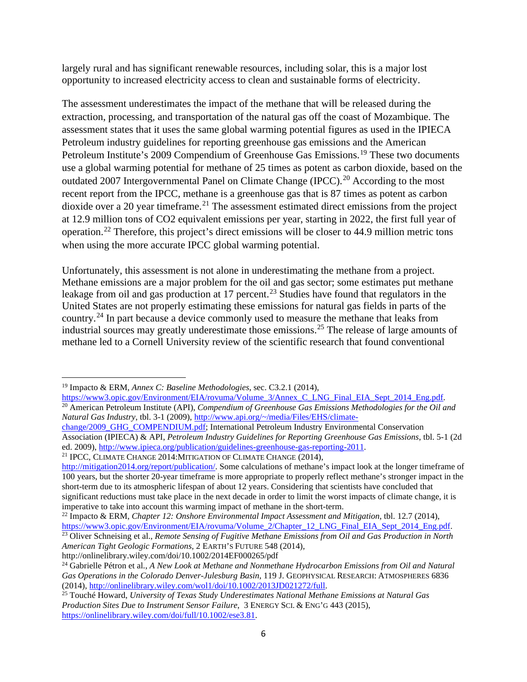largely rural and has significant renewable resources, including solar, this is a major lost opportunity to increased electricity access to clean and sustainable forms of electricity.

The assessment underestimates the impact of the methane that will be released during the extraction, processing, and transportation of the natural gas off the coast of Mozambique. The assessment states that it uses the same global warming potential figures as used in the IPIECA Petroleum industry guidelines for reporting greenhouse gas emissions and the American Petroleum Institute's 2009 Compendium of Greenhouse Gas Emissions.<sup>[19](#page-5-0)</sup> These two documents use a global warming potential for methane of 25 times as potent as carbon dioxide, based on the outdated [20](#page-5-1)07 Intergovernmental Panel on Climate Change (IPCC).<sup>20</sup> According to the most recent report from the IPCC, methane is a greenhouse gas that is 87 times as potent as carbon dioxide over a 20 year timeframe.<sup>[21](#page-5-2)</sup> The assessment estimated direct emissions from the project at 12.9 million tons of CO2 equivalent emissions per year, starting in 2022, the first full year of operation.[22](#page-5-3) Therefore, this project's direct emissions will be closer to 44.9 million metric tons when using the more accurate IPCC global warming potential.

Unfortunately, this assessment is not alone in underestimating the methane from a project. Methane emissions are a major problem for the oil and gas sector; some estimates put methane leakage from oil and gas production at 17 percent.<sup>[23](#page-5-4)</sup> Studies have found that regulators in the United States are not properly estimating these emissions for natural gas fields in parts of the country.[24](#page-5-5) In part because a device commonly used to measure the methane that leaks from industrial sources may greatly underestimate those emissions.[25](#page-5-6) The release of large amounts of methane led to a Cornell University review of the scientific research that found conventional

<span id="page-5-0"></span><sup>&</sup>lt;sup>19</sup> Impacto & ERM, *Annex C: Baseline Methodologies*, sec. C3.2.1 (2014),<br>https://www3.opic.gov/Environment/EIA/rovuma/Volume 3/Annex C LNG Final EIA Sept 2014 Eng.pdf. <sup>20</sup> American Petroleum Institute (API), *Compendium of Greenhouse Gas Emissions Methodologies for the Oil and Natural Gas Industry*, tbl. 3-1 (2009)[, http://www.api.org/~/media/Files/EHS/climate-](http://www.api.org/%7E/media/Files/EHS/climate-change/2009_GHG_COMPENDIUM.pdf)

<span id="page-5-1"></span>[change/2009\\_GHG\\_COMPENDIUM.pdf;](http://www.api.org/%7E/media/Files/EHS/climate-change/2009_GHG_COMPENDIUM.pdf) International Petroleum Industry Environmental Conservation Association (IPIECA) & API, *Petroleum Industry Guidelines for Reporting Greenhouse Gas Emissions*, tbl. 5-1 (2d ed. 2009), http://www.ipieca.org/publication/guidelines-greenhouse-gas-reporting-2011.

<span id="page-5-2"></span><sup>&</sup>lt;sup>21</sup> IPCC, CLIMATE CHANGE 2014: MITIGATION OF CLIMATE CHANGE  $(2014)$ ,

[http://mitigation2014.org/report/publication/.](http://mitigation2014.org/report/publication/) Some calculations of methane's impact look at the longer timeframe of 100 years, but the shorter 20-year timeframe is more appropriate to properly reflect methane's stronger impact in the short-term due to its atmospheric lifespan of about 12 years. Considering that scientists have concluded that significant reductions must take place in the next decade in order to limit the worst impacts of climate change, it is imperative to take into account this warming impact of methane in the short-term.

<span id="page-5-3"></span><sup>&</sup>lt;sup>22</sup> Impacto & ERM, *Chapter 12: Onshore Environmental Impact Assessment and Mitigation*, tbl. 12.7 (2014), https://www3.opic.gov/Environment/EIA/rovuma/Volume\_2/Chapter\_12\_LNG\_Final\_EIA\_Sept\_2014\_Eng.pdf. <sup>23</sup> Oliver Schneising et al., *Remote Sensing of Fugitive Methane Emissions from Oil and Gas Production in North American Tight Geologic Formations*, 2 EARTH'S FUTURE 548 (2014),

<span id="page-5-4"></span>http://onlinelibrary.wiley.com/doi/10.1002/2014EF000265/pdf

<span id="page-5-5"></span><sup>24</sup> Gabrielle Pétron et al., *A New Look at Methane and Nonmethane Hydrocarbon Emissions from Oil and Natural Gas Operations in the Colorado Denver-Julesburg Basin*, 119 J. GEOPHYSICAL RESEARCH: ATMOSPHERES 6836 (2014)[, http://onlinelibrary.wiley.com/wol1/doi/10.1002/2013JD021272/full.](http://onlinelibrary.wiley.com/wol1/doi/10.1002/2013JD021272/full) 25 Touché Howard, *University of Texas Study Underestimates National Methane Emissions at Natural Gas* 

<span id="page-5-6"></span>*Production Sites Due to Instrument Sensor Failure*, 3 ENERGY SCI. & ENG'G 443 (2015), [https://onlinelibrary.wiley.com/doi/full/10.1002/ese3.81.](https://onlinelibrary.wiley.com/doi/full/10.1002/ese3.81)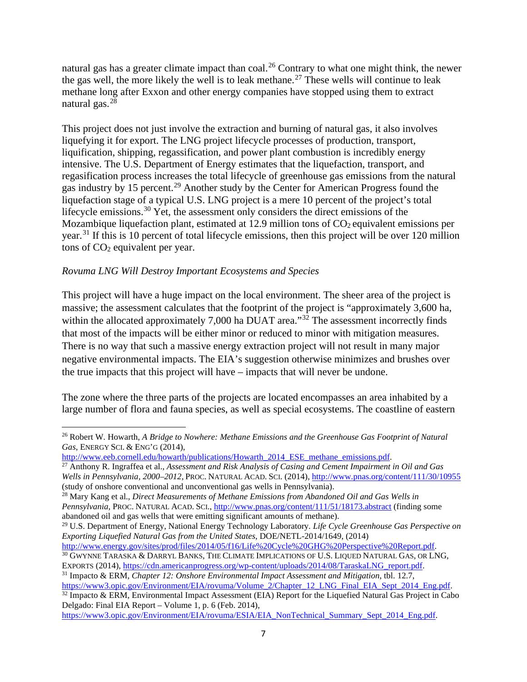natural gas has a greater climate impact than coal.<sup>[26](#page-6-0)</sup> Contrary to what one might think, the newer the gas well, the more likely the well is to leak methane.<sup>[27](#page-6-1)</sup> These wells will continue to leak methane long after Exxon and other energy companies have stopped using them to extract natural gas.[28](#page-6-2)

This project does not just involve the extraction and burning of natural gas, it also involves liquefying it for export. The LNG project lifecycle processes of production, transport, liquification, shipping, regassification, and power plant combustion is incredibly energy intensive. The U.S. Department of Energy estimates that the liquefaction, transport, and regasification process increases the total lifecycle of greenhouse gas emissions from the natural gas industry by 15 percent.[29](#page-6-3) Another study by the Center for American Progress found the liquefaction stage of a typical U.S. LNG project is a mere 10 percent of the project's total lifecycle emissions.[30](#page-6-4) Yet, the assessment only considers the direct emissions of the Mozambique liquefaction plant, estimated at 12.9 million tons of  $CO<sub>2</sub>$  equivalent emissions per year.<sup>[31](#page-6-5)</sup> If this is 10 percent of total lifecycle emissions, then this project will be over 120 million tons of  $CO<sub>2</sub>$  equivalent per year.

#### *Rovuma LNG Will Destroy Important Ecosystems and Species*

This project will have a huge impact on the local environment. The sheer area of the project is massive; the assessment calculates that the footprint of the project is "approximately 3,600 ha, within the allocated approximately 7,000 ha DUAT area."<sup>[32](#page-6-6)</sup> The assessment incorrectly finds that most of the impacts will be either minor or reduced to minor with mitigation measures. There is no way that such a massive energy extraction project will not result in many major negative environmental impacts. The EIA's suggestion otherwise minimizes and brushes over the true impacts that this project will have – impacts that will never be undone.

The zone where the three parts of the projects are located encompasses an area inhabited by a large number of flora and fauna species, as well as special ecosystems. The coastline of eastern

<span id="page-6-1"></span><sup>27</sup> Anthony R. Ingraffea et al., *Assessment and Risk Analysis of Casing and Cement Impairment in Oil and Gas Wells in Pennsylvania, 2000–2012, PROC. NATURAL ACAD. SCI.* (2014), *http://www.pnas.org/content/111/30/10955* (study of onshore conventional and unconventional gas wells in Pennsylvania).

<span id="page-6-2"></span><sup>28</sup> Mary Kang et al., *Direct Measurements of Methane Emissions from Abandoned Oil and Gas Wells in Pennsylvania*, PROC. NATURAL ACAD. SCI.[, http://www.pnas.org/content/111/51/18173.abstract](http://www.pnas.org/content/111/51/18173.abstract) (finding some abandoned oil and gas wells that were emitting significant amounts of methane).

<span id="page-6-4"></span> $\frac{30}{30}$  GWYNNE TARASKA & DARRYL BANKS, THE CLIMATE IMPLICATIONS OF U.S. LIQUED NATURAL GAS, OR LNG, Exports (2014), https://cdn.americanprogress.org/wp-content/uploads/2014/08/TaraskaLNG report.pdf.

<span id="page-6-6"></span>[https://www3.opic.gov/Environment/EIA/rovuma/Volume\\_2/Chapter\\_12\\_LNG\\_Final\\_EIA\\_Sept\\_2014\\_Eng.pdf.](https://www3.opic.gov/Environment/EIA/rovuma/Volume_2/Chapter_12_LNG_Final_EIA_Sept_2014_Eng.pdf) 32 Impacto & ERM, Environmental Impact Assessment (EIA) Report for the Liquefied Natural Gas Project in Cabo Delgado: Final EIA Report – Volume 1, p. 6 (Feb. 2014),

[https://www3.opic.gov/Environment/EIA/rovuma/ESIA/EIA\\_NonTechnical\\_Summary\\_Sept\\_2014\\_Eng.pdf.](https://www3.opic.gov/Environment/EIA/rovuma/ESIA/EIA_NonTechnical_Summary_Sept_2014_Eng.pdf)

<span id="page-6-0"></span><sup>26</sup> Robert W. Howarth, *A Bridge to Nowhere: Methane Emissions and the Greenhouse Gas Footprint of Natural Gas*, ENERGY SCI. & ENG'G (2014),<br>http://www.eeb.cornell.edu/howarth/publications/Howarth 2014 ESE methane emissions.pdf.

<span id="page-6-3"></span><sup>29</sup> U.S. Department of Energy, National Energy Technology Laboratory*. Life Cycle Greenhouse Gas Perspective on Exporting Liquefied Natural Gas from the United States*, DOE/NETL-2014/1649, (2014)

<span id="page-6-5"></span><sup>&</sup>lt;sup>31</sup> Impacto & ERM, *Chapter 12: Onshore Environmental Impact Assessment and Mitigation*, tbl. 12.7,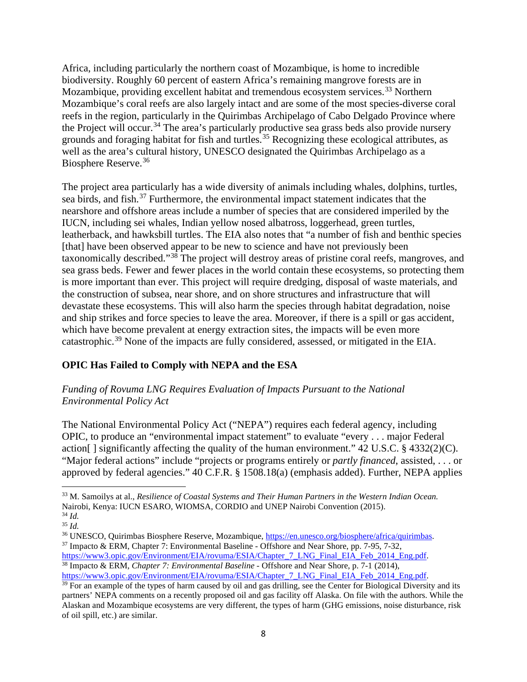Africa, including particularly the northern coast of Mozambique, is home to incredible biodiversity. Roughly 60 percent of eastern Africa's remaining mangrove forests are in Mozambique, providing excellent habitat and tremendous ecosystem services.<sup>[33](#page-7-0)</sup> Northern Mozambique's coral reefs are also largely intact and are some of the most species-diverse coral reefs in the region, particularly in the Quirimbas Archipelago of Cabo Delgado Province where the Project will occur.<sup>[34](#page-7-1)</sup> The area's particularly productive sea grass beds also provide nursery grounds and foraging habitat for fish and turtles.<sup>[35](#page-7-2)</sup> Recognizing these ecological attributes, as well as the area's cultural history, UNESCO designated the Quirimbas Archipelago as a Biosphere Reserve. [36](#page-7-3)

The project area particularly has a wide diversity of animals including whales, dolphins, turtles, sea birds, and fish.<sup>[37](#page-7-4)</sup> Furthermore, the environmental impact statement indicates that the nearshore and offshore areas include a number of species that are considered imperiled by the IUCN, including sei whales, Indian yellow nosed albatross, loggerhead, green turtles, leatherback, and hawksbill turtles. The EIA also notes that "a number of fish and benthic species [that] have been observed appear to be new to science and have not previously been taxonomically described."[38](#page-7-5) The project will destroy areas of pristine coral reefs, mangroves, and sea grass beds. Fewer and fewer places in the world contain these ecosystems, so protecting them is more important than ever. This project will require dredging, disposal of waste materials, and the construction of subsea, near shore, and on shore structures and infrastructure that will devastate these ecosystems. This will also harm the species through habitat degradation, noise and ship strikes and force species to leave the area. Moreover, if there is a spill or gas accident, which have become prevalent at energy extraction sites, the impacts will be even more catastrophic.[39](#page-7-6) None of the impacts are fully considered, assessed, or mitigated in the EIA.

# **OPIC Has Failed to Comply with NEPA and the ESA**

#### *Funding of Rovuma LNG Requires Evaluation of Impacts Pursuant to the National Environmental Policy Act*

The National Environmental Policy Act ("NEPA") requires each federal agency, including OPIC, to produce an "environmental impact statement" to evaluate "every . . . major Federal action[ ] significantly affecting the quality of the human environment." 42 U.S.C. § 4332(2)(C). "Major federal actions" include "projects or programs entirely or *partly financed*, assisted, . . . or approved by federal agencies." 40 C.F.R. § 1508.18(a) (emphasis added). Further, NEPA applies

<span id="page-7-0"></span><sup>33</sup> M. Samoilys at al., *Resilience of Coastal Systems and Their Human Partners in the Western Indian Ocean.*  Nairobi, Kenya: IUCN ESARO, WIOMSA, CORDIO and UNEP Nairobi Convention (2015).

<span id="page-7-1"></span><sup>34</sup> *Id.* <sup>35</sup> *Id.*

<span id="page-7-4"></span><span id="page-7-3"></span><span id="page-7-2"></span><sup>&</sup>lt;sup>36</sup> UNESCO, Quirimbas Biosphere Reserve, Mozambique,  $\frac{https://en.unesco.org/biosphere/africa/quirimbas.}{https://en.unesco.org/biosphere/africa/quirimbas.}$ <br><sup>37</sup> Impacto & ERM, Chapter 7: Environmental Baseline - Offshore and Near Shore, pp. 7-95, 7-32,

<span id="page-7-5"></span>[https://www3.opic.gov/Environment/EIA/rovuma/ESIA/Chapter\\_7\\_LNG\\_Final\\_EIA\\_Feb\\_2014\\_Eng.pdf.](https://www3.opic.gov/Environment/EIA/rovuma/ESIA/Chapter_7_LNG_Final_EIA_Feb_2014_Eng.pdf) 38 Impacto & ERM, *Chapter 7: Environmental Baseline* - Offshore and Near Shore, p. 7-1 (2014),

<span id="page-7-6"></span>https://www3.opic.gov/Environment/EIA/rovuma/ESIA/Chapter 7 LNG Final EIA Feb 2014 Eng.pdf. <sup>39</sup> For an example of the types of harm caused by oil and gas drilling, see the Center for Biological Diversity and its partners' NEPA comments on a recently proposed oil and gas facility off Alaska. On file with the authors. While the Alaskan and Mozambique ecosystems are very different, the types of harm (GHG emissions, noise disturbance, risk of oil spill, etc.) are similar.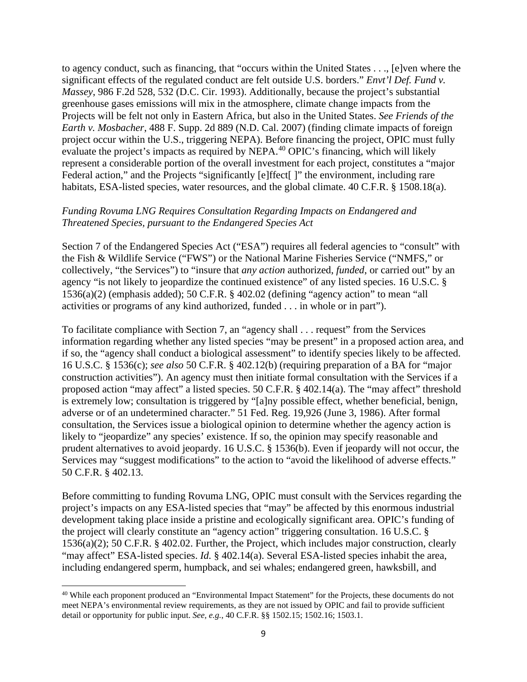to agency conduct, such as financing, that "occurs within the United States . . ., [e]ven where the significant effects of the regulated conduct are felt outside U.S. borders." *Envt'l Def. Fund v. Massey*, 986 F.2d 528, 532 (D.C. Cir. 1993). Additionally, because the project's substantial greenhouse gases emissions will mix in the atmosphere, climate change impacts from the Projects will be felt not only in Eastern Africa, but also in the United States. *See Friends of the Earth v. Mosbacher*, 488 F. Supp. 2d 889 (N.D. Cal. 2007) (finding climate impacts of foreign project occur within the U.S., triggering NEPA). Before financing the project, OPIC must fully evaluate the project's impacts as required by NEPA.<sup>[40](#page-8-0)</sup> OPIC's financing, which will likely represent a considerable portion of the overall investment for each project, constitutes a "major Federal action," and the Projects "significantly [e]ffect[]" the environment, including rare habitats, ESA-listed species, water resources, and the global climate. 40 C.F.R. § 1508.18(a).

#### *Funding Rovuma LNG Requires Consultation Regarding Impacts on Endangered and Threatened Species, pursuant to the Endangered Species Act*

Section 7 of the Endangered Species Act ("ESA") requires all federal agencies to "consult" with the Fish & Wildlife Service ("FWS") or the National Marine Fisheries Service ("NMFS," or collectively, "the Services") to "insure that *any action* authorized, *funded*, or carried out" by an agency "is not likely to jeopardize the continued existence" of any listed species. 16 U.S.C. § 1536(a)(2) (emphasis added); 50 C.F.R. § 402.02 (defining "agency action" to mean "all activities or programs of any kind authorized, funded . . . in whole or in part").

To facilitate compliance with Section 7, an "agency shall . . . request" from the Services information regarding whether any listed species "may be present" in a proposed action area, and if so, the "agency shall conduct a biological assessment" to identify species likely to be affected. 16 U.S.C. § 1536(c); *see also* 50 C.F.R. § 402.12(b) (requiring preparation of a BA for "major construction activities"). An agency must then initiate formal consultation with the Services if a proposed action "may affect" a listed species. 50 C.F.R. § 402.14(a). The "may affect" threshold is extremely low; consultation is triggered by "[a]ny possible effect, whether beneficial, benign, adverse or of an undetermined character." 51 Fed. Reg. 19,926 (June 3, 1986). After formal consultation, the Services issue a biological opinion to determine whether the agency action is likely to "jeopardize" any species' existence. If so, the opinion may specify reasonable and prudent alternatives to avoid jeopardy. 16 U.S.C. § 1536(b). Even if jeopardy will not occur, the Services may "suggest modifications" to the action to "avoid the likelihood of adverse effects." 50 C.F.R. § 402.13.

Before committing to funding Rovuma LNG, OPIC must consult with the Services regarding the project's impacts on any ESA-listed species that "may" be affected by this enormous industrial development taking place inside a pristine and ecologically significant area. OPIC's funding of the project will clearly constitute an "agency action" triggering consultation. 16 U.S.C. § 1536(a)(2); 50 C.F.R. § 402.02. Further, the Project, which includes major construction, clearly "may affect" ESA-listed species. *Id.* § 402.14(a). Several ESA-listed species inhabit the area, including endangered sperm, humpback, and sei whales; endangered green, hawksbill, and

<span id="page-8-0"></span><sup>40</sup> While each proponent produced an "Environmental Impact Statement" for the Projects, these documents do not meet NEPA's environmental review requirements, as they are not issued by OPIC and fail to provide sufficient detail or opportunity for public input. *See, e.g.*, 40 C.F.R. §§ 1502.15; 1502.16; 1503.1.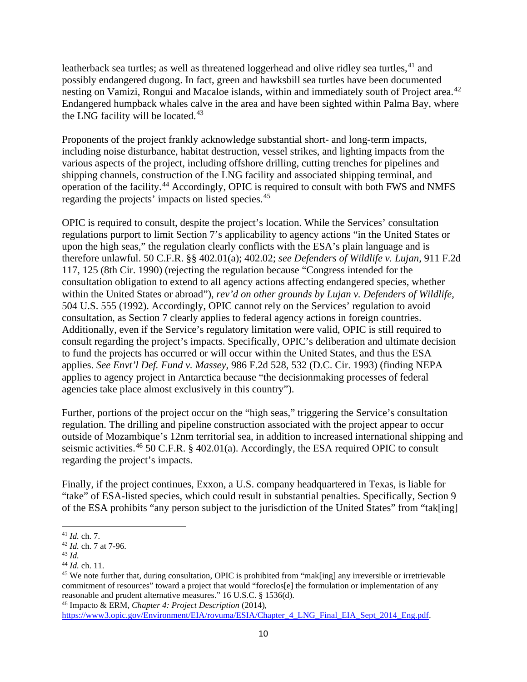leatherback sea turtles; as well as threatened loggerhead and olive ridley sea turtles, <sup>[41](#page-9-0)</sup> and possibly endangered dugong. In fact, green and hawksbill sea turtles have been documented nesting on Vamizi, Rongui and Macaloe islands, within and immediately south of Project area.<sup>[42](#page-9-1)</sup> Endangered humpback whales calve in the area and have been sighted within Palma Bay, where the LNG facility will be located.<sup>[43](#page-9-2)</sup>

Proponents of the project frankly acknowledge substantial short- and long-term impacts, including noise disturbance, habitat destruction, vessel strikes, and lighting impacts from the various aspects of the project, including offshore drilling, cutting trenches for pipelines and shipping channels, construction of the LNG facility and associated shipping terminal, and operation of the facility.[44](#page-9-3) Accordingly, OPIC is required to consult with both FWS and NMFS regarding the projects' impacts on listed species.<sup>[45](#page-9-4)</sup>

OPIC is required to consult, despite the project's location. While the Services' consultation regulations purport to limit Section 7's applicability to agency actions "in the United States or upon the high seas," the regulation clearly conflicts with the ESA's plain language and is therefore unlawful. 50 C.F.R. §§ 402.01(a); 402.02; *see Defenders of Wildlife v. Lujan*, 911 F.2d 117, 125 (8th Cir. 1990) (rejecting the regulation because "Congress intended for the consultation obligation to extend to all agency actions affecting endangered species, whether within the United States or abroad"), *rev'd on other grounds by Lujan v. Defenders of Wildlife*, 504 U.S. 555 (1992). Accordingly, OPIC cannot rely on the Services' regulation to avoid consultation, as Section 7 clearly applies to federal agency actions in foreign countries. Additionally, even if the Service's regulatory limitation were valid, OPIC is still required to consult regarding the project's impacts. Specifically, OPIC's deliberation and ultimate decision to fund the projects has occurred or will occur within the United States, and thus the ESA applies. *See Envt'l Def. Fund v. Massey*, 986 F.2d 528, 532 (D.C. Cir. 1993) (finding NEPA applies to agency project in Antarctica because "the decisionmaking processes of federal agencies take place almost exclusively in this country").

Further, portions of the project occur on the "high seas," triggering the Service's consultation regulation. The drilling and pipeline construction associated with the project appear to occur outside of Mozambique's 12nm territorial sea, in addition to increased international shipping and seismic activities.<sup>[46](#page-9-5)</sup> 50 C.F.R. § 402.01(a). Accordingly, the ESA required OPIC to consult regarding the project's impacts.

Finally, if the project continues, Exxon, a U.S. company headquartered in Texas, is liable for "take" of ESA-listed species, which could result in substantial penalties. Specifically, Section 9 of the ESA prohibits "any person subject to the jurisdiction of the United States" from "tak[ing]

<span id="page-9-5"></span>https://www3.opic.gov/Environment/EIA/rovuma/ESIA/Chapter\_4\_LNG\_Final\_EIA\_Sept\_2014\_Eng.pdf.

<span id="page-9-1"></span><span id="page-9-0"></span><sup>41</sup> *Id.* ch. 7. 42 *Id.* ch. 7 at 7-96.

<span id="page-9-2"></span><sup>43</sup> *Id.*

<span id="page-9-3"></span><sup>44</sup> *Id.* ch. 11.

<span id="page-9-4"></span><sup>&</sup>lt;sup>45</sup> We note further that, during consultation, OPIC is prohibited from "mak[ing] any irreversible or irretrievable commitment of resources" toward a project that would "foreclos[e] the formulation or implementation of any reasonable and prudent alternative measures." 16 U.S.C. § 1536(d). <sup>46</sup> Impacto & ERM, *Chapter 4: Project Description* (2014),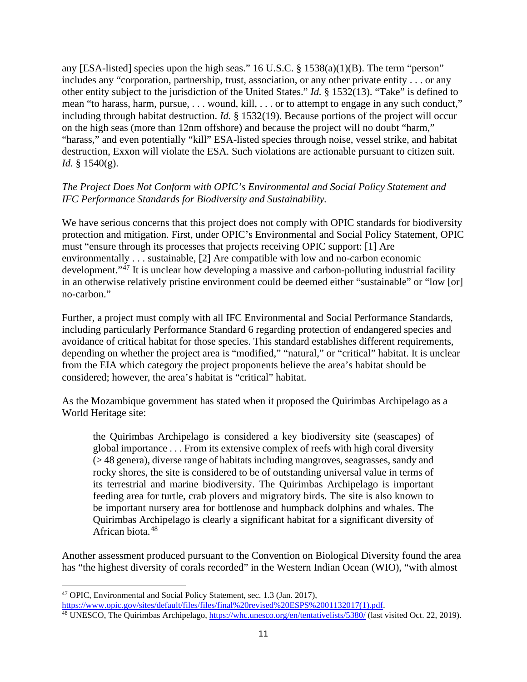any [ESA-listed] species upon the high seas." 16 U.S.C. § 1538(a)(1)(B). The term "person" includes any "corporation, partnership, trust, association, or any other private entity . . . or any other entity subject to the jurisdiction of the United States." *Id.* § 1532(13). "Take" is defined to mean "to harass, harm, pursue, . . . wound, kill, . . . or to attempt to engage in any such conduct," including through habitat destruction. *Id.* § 1532(19). Because portions of the project will occur on the high seas (more than 12nm offshore) and because the project will no doubt "harm," "harass," and even potentially "kill" ESA-listed species through noise, vessel strike, and habitat destruction, Exxon will violate the ESA. Such violations are actionable pursuant to citizen suit. *Id.* § 1540(g).

#### *The Project Does Not Conform with OPIC's Environmental and Social Policy Statement and IFC Performance Standards for Biodiversity and Sustainability.*

We have serious concerns that this project does not comply with OPIC standards for biodiversity protection and mitigation. First, under OPIC's Environmental and Social Policy Statement, OPIC must "ensure through its processes that projects receiving OPIC support: [1] Are environmentally . . . sustainable, [2] Are compatible with low and no-carbon economic development."[47](#page-10-0) It is unclear how developing a massive and carbon-polluting industrial facility in an otherwise relatively pristine environment could be deemed either "sustainable" or "low [or] no-carbon."

Further, a project must comply with all IFC Environmental and Social Performance Standards, including particularly Performance Standard 6 regarding protection of endangered species and avoidance of critical habitat for those species. This standard establishes different requirements, depending on whether the project area is "modified," "natural," or "critical" habitat. It is unclear from the EIA which category the project proponents believe the area's habitat should be considered; however, the area's habitat is "critical" habitat.

As the Mozambique government has stated when it proposed the Quirimbas Archipelago as a World Heritage site:

the Quirimbas Archipelago is considered a key biodiversity site (seascapes) of global importance . . . From its extensive complex of reefs with high coral diversity (> 48 genera), diverse range of habitats including mangroves, seagrasses, sandy and rocky shores, the site is considered to be of outstanding universal value in terms of its terrestrial and marine biodiversity. The Quirimbas Archipelago is important feeding area for turtle, crab plovers and migratory birds. The site is also known to be important nursery area for bottlenose and humpback dolphins and whales. The Quirimbas Archipelago is clearly a significant habitat for a significant diversity of African biota.<sup>[48](#page-10-1)</sup>

Another assessment produced pursuant to the Convention on Biological Diversity found the area has "the highest diversity of corals recorded" in the Western Indian Ocean (WIO), "with almost

<span id="page-10-0"></span><sup>&</sup>lt;sup>47</sup> OPIC, Environmental and Social Policy Statement, sec. 1.3 (Jan. 2017),<br>https://www.opic.gov/sites/default/files/files/final%20revised%20ESPS%2001132017(1).pdf.

<span id="page-10-1"></span><sup>&</sup>lt;sup>48</sup> UNESCO, The Quirimbas Archipelago,<https://whc.unesco.org/en/tentativelists/5380/> (last visited Oct. 22, 2019).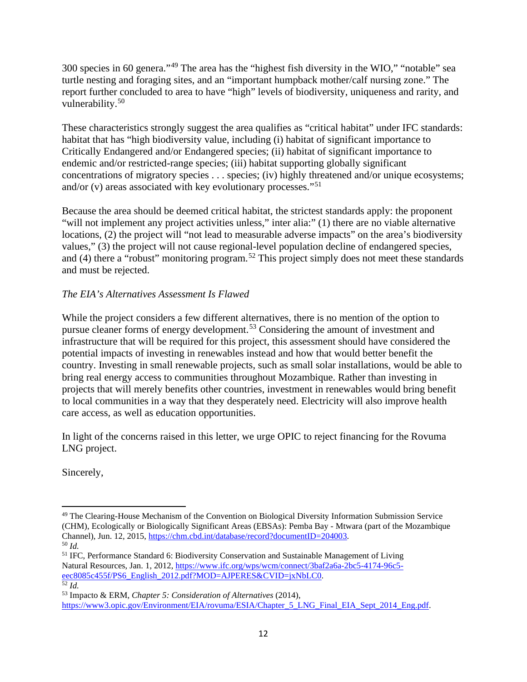300 species in 60 genera."[49](#page-11-0) The area has the "highest fish diversity in the WIO," "notable" sea turtle nesting and foraging sites, and an "important humpback mother/calf nursing zone." The report further concluded to area to have "high" levels of biodiversity, uniqueness and rarity, and vulnerability.<sup>[50](#page-11-1)</sup>

These characteristics strongly suggest the area qualifies as "critical habitat" under IFC standards: habitat that has "high biodiversity value, including (i) habitat of significant importance to Critically Endangered and/or Endangered species; (ii) habitat of significant importance to endemic and/or restricted-range species; (iii) habitat supporting globally significant concentrations of migratory species . . . species; (iv) highly threatened and/or unique ecosystems; and/or  $(v)$  areas associated with key evolutionary processes."<sup>[51](#page-11-2)</sup>

Because the area should be deemed critical habitat, the strictest standards apply: the proponent "will not implement any project activities unless," inter alia:" (1) there are no viable alternative locations, (2) the project will "not lead to measurable adverse impacts" on the area's biodiversity values," (3) the project will not cause regional-level population decline of endangered species, and (4) there a "robust" monitoring program.[52](#page-11-3) This project simply does not meet these standards and must be rejected.

# *The EIA's Alternatives Assessment Is Flawed*

While the project considers a few different alternatives, there is no mention of the option to pursue cleaner forms of energy development.<sup>[53](#page-11-4)</sup> Considering the amount of investment and infrastructure that will be required for this project, this assessment should have considered the potential impacts of investing in renewables instead and how that would better benefit the country. Investing in small renewable projects, such as small solar installations, would be able to bring real energy access to communities throughout Mozambique. Rather than investing in projects that will merely benefits other countries, investment in renewables would bring benefit to local communities in a way that they desperately need. Electricity will also improve health care access, as well as education opportunities.

In light of the concerns raised in this letter, we urge OPIC to reject financing for the Rovuma LNG project.

Sincerely,

<span id="page-11-0"></span><sup>&</sup>lt;sup>49</sup> The Clearing-House Mechanism of the Convention on Biological Diversity Information Submission Service (CHM), Ecologically or Biologically Significant Areas (EBSAs): Pemba Bay - Mtwara (part of the Mozambique Channel), Jun. 12, 2015[, https://chm.cbd.int/database/record?documentID=204003.](https://chm.cbd.int/database/record?documentID=204003) 50 *Id.*

<span id="page-11-2"></span><span id="page-11-1"></span><sup>&</sup>lt;sup>51</sup> IFC, Performance Standard 6: Biodiversity Conservation and Sustainable Management of Living Natural Resources, Jan. 1, 2012, [https://www.ifc.org/wps/wcm/connect/3baf2a6a-2bc5-4174-96c5](https://www.ifc.org/wps/wcm/connect/3baf2a6a-2bc5-4174-96c5-eec8085c455f/PS6_English_2012.pdf?MOD=AJPERES&CVID=jxNbLC0) [eec8085c455f/PS6\\_English\\_2012.pdf?MOD=AJPERES&CVID=jxNbLC0.](https://www.ifc.org/wps/wcm/connect/3baf2a6a-2bc5-4174-96c5-eec8085c455f/PS6_English_2012.pdf?MOD=AJPERES&CVID=jxNbLC0) 52 *Id.*

<span id="page-11-4"></span><span id="page-11-3"></span><sup>53</sup> Impacto & ERM, *Chapter 5: Consideration of Alternatives* (2014), https://www3.opic.gov/Environment/EIA/rovuma/ESIA/Chapter\_5\_LNG\_Final\_EIA\_Sept\_2014\_Eng.pdf.